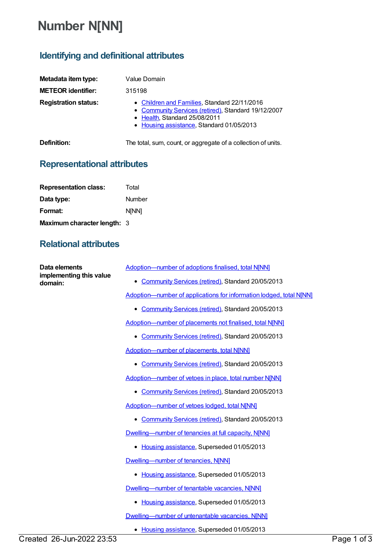## **Number N[NN]**

## **Identifying and definitional attributes**

| Metadata item type:<br><b>METEOR identifier:</b> | Value Domain<br>315198                                                                                                                                                            |
|--------------------------------------------------|-----------------------------------------------------------------------------------------------------------------------------------------------------------------------------------|
| <b>Registration status:</b>                      | • Children and Families, Standard 22/11/2016<br>• Community Services (retired), Standard 19/12/2007<br>• Health, Standard 25/08/2011<br>• Housing assistance, Standard 01/05/2013 |
| Definition:                                      | The total, sum, count, or aggregate of a collection of units.                                                                                                                     |

## **Representational attributes**

| <b>Representation class:</b> | Total        |
|------------------------------|--------------|
| Data type:                   | Number       |
| Format:                      | <b>N[NN]</b> |
| Maximum character length: 3  |              |

## **Relational attributes**

| Data elements<br>implementing this value<br>domain: | Adoption-number of adoptions finalised, total N[NN]                 |
|-----------------------------------------------------|---------------------------------------------------------------------|
|                                                     | • Community Services (retired), Standard 20/05/2013                 |
|                                                     | Adoption-number of applications for information lodged, total N[NN] |
|                                                     | • Community Services (retired), Standard 20/05/2013                 |
|                                                     | Adoption-number of placements not finalised, total N[NN]            |
|                                                     | • Community Services (retired), Standard 20/05/2013                 |
|                                                     | Adoption-number of placements, total NJNN]                          |
|                                                     | Community Services (retired), Standard 20/05/2013<br>٠              |
|                                                     | Adoption-number of vetoes in place, total number N[NN]              |
|                                                     | Community Services (retired), Standard 20/05/2013                   |
|                                                     | Adoption-number of vetoes lodged, total N[NN]                       |
|                                                     | • Community Services (retired), Standard 20/05/2013                 |
|                                                     | Dwelling-number of tenancies at full capacity, N[NN]                |
|                                                     | • Housing assistance, Superseded 01/05/2013                         |
|                                                     | Dwelling-number of tenancies, N[NN]                                 |
|                                                     | • Housing assistance, Superseded 01/05/2013                         |
|                                                     | Dwelling-number of tenantable vacancies, N[NN]                      |
|                                                     | Housing assistance, Superseded 01/05/2013<br>٠                      |
|                                                     | Dwelling-number of untenantable vacancies, N[NN]                    |
|                                                     | Housing assistance, Superseded 01/05/2013                           |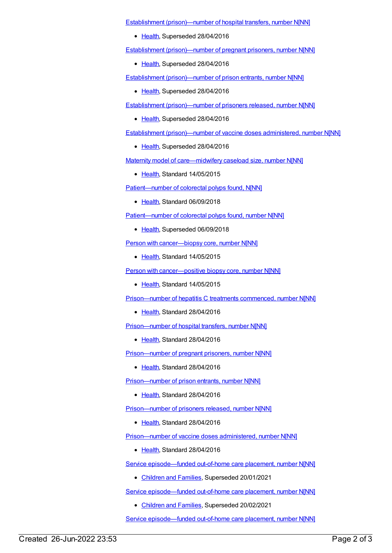Establishment [\(prison\)—number](https://meteor.aihw.gov.au/content/412984) of hospital transfers, number N[NN]

• [Health](https://meteor.aihw.gov.au/RegistrationAuthority/12), Superseded 28/04/2016

Establishment [\(prison\)—number](https://meteor.aihw.gov.au/content/365492) of pregnant prisoners, number N[NN]

• [Health](https://meteor.aihw.gov.au/RegistrationAuthority/12), Superseded 28/04/2016

Establishment [\(prison\)—number](https://meteor.aihw.gov.au/content/376420) of prison entrants, number N[NN]

• [Health](https://meteor.aihw.gov.au/RegistrationAuthority/12), Superseded 28/04/2016

Establishment [\(prison\)—number](https://meteor.aihw.gov.au/content/410463) of prisoners released, number N[NN]

• [Health](https://meteor.aihw.gov.au/RegistrationAuthority/12), Superseded 28/04/2016

Establishment [\(prison\)—number](https://meteor.aihw.gov.au/content/411925) of vaccine doses administered, number N[NN]

• [Health](https://meteor.aihw.gov.au/RegistrationAuthority/12), Superseded 28/04/2016

Maternity model of [care—midwifery](https://meteor.aihw.gov.au/content/558695) caseload size, number N[NN]

[Health](https://meteor.aihw.gov.au/RegistrationAuthority/12), Standard 14/05/2015

[Patient—number](https://meteor.aihw.gov.au/content/695215) of colorectal polyps found, N[NN]

• [Health](https://meteor.aihw.gov.au/RegistrationAuthority/12), Standard 06/09/2018

[Patient—number](https://meteor.aihw.gov.au/content/530387) of colorectal polyps found, number N[NN]

• [Health](https://meteor.aihw.gov.au/RegistrationAuthority/12), Superseded 06/09/2018

Person with [cancer—biopsy](https://meteor.aihw.gov.au/content/490884) core, number N[NN]

• [Health](https://meteor.aihw.gov.au/RegistrationAuthority/12), Standard 14/05/2015

Person with [cancer—positive](https://meteor.aihw.gov.au/content/490961) biopsy core, number N[NN]

• [Health](https://meteor.aihw.gov.au/RegistrationAuthority/12), Standard 14/05/2015

[Prison—number](https://meteor.aihw.gov.au/content/620390) of hepatitis C treatments commenced, number N[NN]

• [Health](https://meteor.aihw.gov.au/RegistrationAuthority/12), Standard 28/04/2016

[Prison—number](https://meteor.aihw.gov.au/content/626269) of hospital transfers, number N[NN]

• [Health](https://meteor.aihw.gov.au/RegistrationAuthority/12), Standard 28/04/2016

[Prison—number](https://meteor.aihw.gov.au/content/626260) of pregnant prisoners, number N[NN]

• [Health](https://meteor.aihw.gov.au/RegistrationAuthority/12), Standard 28/04/2016

[Prison—number](https://meteor.aihw.gov.au/content/624301) of prison entrants, number N[NN]

• [Health](https://meteor.aihw.gov.au/RegistrationAuthority/12), Standard 28/04/2016

[Prison—number](https://meteor.aihw.gov.au/content/626200) of prisoners released, number N[NN]

● [Health](https://meteor.aihw.gov.au/RegistrationAuthority/12), Standard 28/04/2016

[Prison—number](https://meteor.aihw.gov.au/content/626210) of vaccine doses administered, number N[NN]

• [Health](https://meteor.aihw.gov.au/RegistrationAuthority/12), Standard 28/04/2016

Service [episode—funded](https://meteor.aihw.gov.au/content/657284) out-of-home care placement, number N[NN]

• [Children](https://meteor.aihw.gov.au/RegistrationAuthority/17) and Families, Superseded 20/01/2021

Service [episode—funded](https://meteor.aihw.gov.au/content/652026) out-of-home care placement, number N[NN]

[Children](https://meteor.aihw.gov.au/RegistrationAuthority/17) and Families, Superseded 20/02/2021

Service [episode—funded](https://meteor.aihw.gov.au/content/737461) out-of-home care placement, number N[NN]